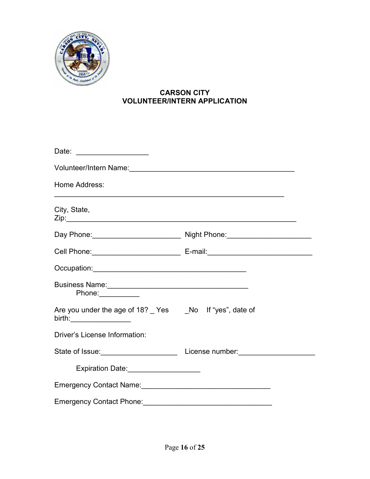

## **CARSON CITY VOLUNTEER/INTERN APPLICATION**

| Volunteer/Intern Name:<br>University of the Communication of the Volunteer of the Communication of the Volunteer of the Communication of the Volunteer of the Volunteer of the Volunteer of the Volunteer of the Volunteer of th |  |
|----------------------------------------------------------------------------------------------------------------------------------------------------------------------------------------------------------------------------------|--|
| Home Address:                                                                                                                                                                                                                    |  |
| City, State,                                                                                                                                                                                                                     |  |
|                                                                                                                                                                                                                                  |  |
|                                                                                                                                                                                                                                  |  |
|                                                                                                                                                                                                                                  |  |
| Phone:                                                                                                                                                                                                                           |  |
| Are you under the age of 18? Yes No If "yes", date of<br>birth:______________________                                                                                                                                            |  |
| Driver's License Information:                                                                                                                                                                                                    |  |
|                                                                                                                                                                                                                                  |  |
| Expiration Date:<br><u> Expiration Date:</u>                                                                                                                                                                                     |  |
| Emergency Contact Name:<br><u> Emergency Contact Name:</u>                                                                                                                                                                       |  |
|                                                                                                                                                                                                                                  |  |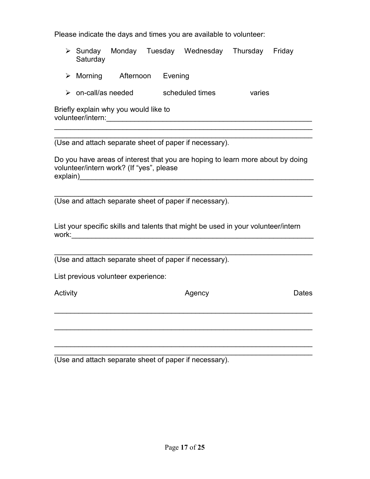Please indicate the days and times you are available to volunteer:

- $\triangleright$  Sunday Monday Tuesday Wednesday Thursday Friday Saturday
- $\triangleright$  Morning Afternoon Evening
- > on-call/as needed scheduled times varies

Briefly explain why you would like to volunteer/intern:\_\_\_\_\_\_\_\_\_\_\_\_\_\_\_\_\_\_\_\_\_\_\_\_\_\_\_\_\_\_\_\_\_\_\_\_\_\_\_\_\_\_\_\_\_\_\_\_\_\_\_

\_\_\_\_\_\_\_\_\_\_\_\_\_\_\_\_\_\_\_\_\_\_\_\_\_\_\_\_\_\_\_\_\_\_\_\_\_\_\_\_\_\_\_\_\_\_\_\_\_\_\_\_\_\_\_\_\_\_\_\_\_\_\_\_ (Use and attach separate sheet of paper if necessary).

Do you have areas of interest that you are hoping to learn more about by doing volunteer/intern work? (If "yes", please explain)\_\_\_\_\_\_\_\_\_\_\_\_\_\_\_\_\_\_\_\_\_\_\_\_\_\_\_\_\_\_\_\_\_\_\_\_\_\_\_\_\_\_\_\_\_\_\_\_\_\_\_\_\_\_\_\_\_\_

\_\_\_\_\_\_\_\_\_\_\_\_\_\_\_\_\_\_\_\_\_\_\_\_\_\_\_\_\_\_\_\_\_\_\_\_\_\_\_\_\_\_\_\_\_\_\_\_\_\_\_\_\_\_\_\_\_\_\_\_\_\_\_\_

\_\_\_\_\_\_\_\_\_\_\_\_\_\_\_\_\_\_\_\_\_\_\_\_\_\_\_\_\_\_\_\_\_\_\_\_\_\_\_\_\_\_\_\_\_\_\_\_\_\_\_\_\_\_\_\_\_\_\_\_\_\_\_\_ (Use and attach separate sheet of paper if necessary).

List your specific skills and talents that might be used in your volunteer/intern  ${\sf work:}\quad$ 

\_\_\_\_\_\_\_\_\_\_\_\_\_\_\_\_\_\_\_\_\_\_\_\_\_\_\_\_\_\_\_\_\_\_\_\_\_\_\_\_\_\_\_\_\_\_\_\_\_\_\_\_\_\_\_\_\_\_\_\_\_\_\_\_

\_\_\_\_\_\_\_\_\_\_\_\_\_\_\_\_\_\_\_\_\_\_\_\_\_\_\_\_\_\_\_\_\_\_\_\_\_\_\_\_\_\_\_\_\_\_\_\_\_\_\_\_\_\_\_\_\_\_\_\_\_\_\_\_

\_\_\_\_\_\_\_\_\_\_\_\_\_\_\_\_\_\_\_\_\_\_\_\_\_\_\_\_\_\_\_\_\_\_\_\_\_\_\_\_\_\_\_\_\_\_\_\_\_\_\_\_\_\_\_\_\_\_\_\_\_\_\_\_

\_\_\_\_\_\_\_\_\_\_\_\_\_\_\_\_\_\_\_\_\_\_\_\_\_\_\_\_\_\_\_\_\_\_\_\_\_\_\_\_\_\_\_\_\_\_\_\_\_\_\_\_\_\_\_\_\_\_\_\_\_\_\_\_

(Use and attach separate sheet of paper if necessary).

List previous volunteer experience:

Activity **Dates Agency CONS** Agency **CONS CONS CONS CONS CONS CONS CONS CONS CONS** 

\_\_\_\_\_\_\_\_\_\_\_\_\_\_\_\_\_\_\_\_\_\_\_\_\_\_\_\_\_\_\_\_\_\_\_\_\_\_\_\_\_\_\_\_\_\_\_\_\_\_\_\_\_\_\_\_\_\_\_\_\_\_\_\_ (Use and attach separate sheet of paper if necessary).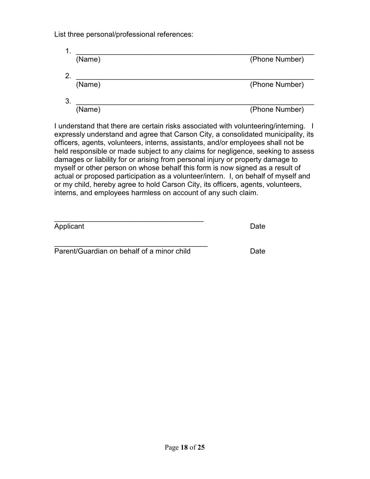List three personal/professional references:

| $\mathbf 1$ . |        |                |
|---------------|--------|----------------|
|               | (Name) | (Phone Number) |
| 2.            |        |                |
|               | (Name) | (Phone Number) |
| 3.            |        |                |
|               | (Name) | (Phone Number) |

I understand that there are certain risks associated with volunteering/interning. I expressly understand and agree that Carson City, a consolidated municipality, its officers, agents, volunteers, interns, assistants, and/or employees shall not be held responsible or made subject to any claims for negligence, seeking to assess damages or liability for or arising from personal injury or property damage to myself or other person on whose behalf this form is now signed as a result of actual or proposed participation as a volunteer/intern. I, on behalf of myself and or my child, hereby agree to hold Carson City, its officers, agents, volunteers, interns, and employees harmless on account of any such claim.

| Applicant | Date |
|-----------|------|

 $\frac{1}{2}$  ,  $\frac{1}{2}$  ,  $\frac{1}{2}$  ,  $\frac{1}{2}$  ,  $\frac{1}{2}$  ,  $\frac{1}{2}$  ,  $\frac{1}{2}$  ,  $\frac{1}{2}$  ,  $\frac{1}{2}$  ,  $\frac{1}{2}$  ,  $\frac{1}{2}$  ,  $\frac{1}{2}$  ,  $\frac{1}{2}$  ,  $\frac{1}{2}$  ,  $\frac{1}{2}$  ,  $\frac{1}{2}$  ,  $\frac{1}{2}$  ,  $\frac{1}{2}$  ,  $\frac{1$ Parent/Guardian on behalf of a minor child Date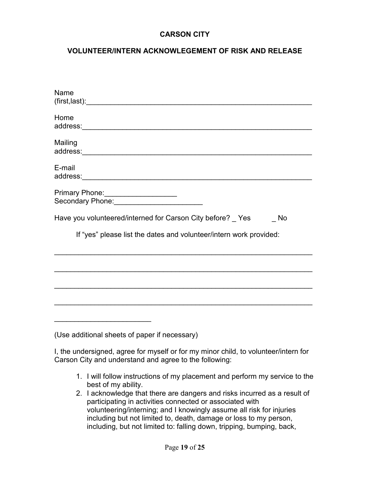#### **VOLUNTEER/INTERN ACKNOWLEGEMENT OF RISK AND RELEASE**

| Name                                                               |
|--------------------------------------------------------------------|
| Home                                                               |
| Mailing                                                            |
| E-mail                                                             |
| Primary Phone: _____________________                               |
| Have you volunteered/interned for Carson City before? _ Yes<br>No  |
| If "yes" please list the dates and volunteer/intern work provided: |
|                                                                    |
|                                                                    |
|                                                                    |
|                                                                    |
| (Use additional sheets of paper if necessary)                      |

I, the undersigned, agree for myself or for my minor child, to volunteer/intern for Carson City and understand and agree to the following:

- 1. I will follow instructions of my placement and perform my service to the best of my ability.
- 2. I acknowledge that there are dangers and risks incurred as a result of participating in activities connected or associated with volunteering/interning; and I knowingly assume all risk for injuries including but not limited to, death, damage or loss to my person, including, but not limited to: falling down, tripping, bumping, back,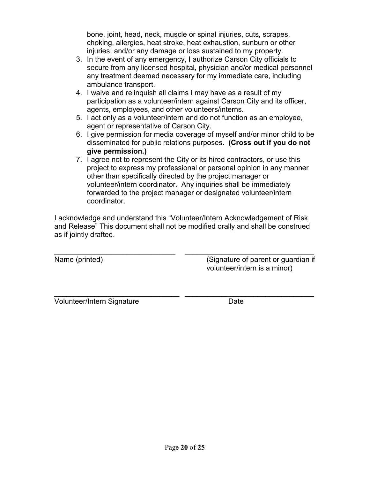bone, joint, head, neck, muscle or spinal injuries, cuts, scrapes, choking, allergies, heat stroke, heat exhaustion, sunburn or other injuries; and/or any damage or loss sustained to my property.

- 3. In the event of any emergency, I authorize Carson City officials to secure from any licensed hospital, physician and/or medical personnel any treatment deemed necessary for my immediate care, including ambulance transport.
- 4. I waive and relinquish all claims I may have as a result of my participation as a volunteer/intern against Carson City and its officer, agents, employees, and other volunteers/interns.
- 5. I act only as a volunteer/intern and do not function as an employee, agent or representative of Carson City.
- 6. I give permission for media coverage of myself and/or minor child to be disseminated for public relations purposes. **(Cross out if you do not give permission.)**
- 7. I agree not to represent the City or its hired contractors, or use this project to express my professional or personal opinion in any manner other than specifically directed by the project manager or volunteer/intern coordinator. Any inquiries shall be immediately forwarded to the project manager or designated volunteer/intern coordinator.

I acknowledge and understand this "Volunteer/Intern Acknowledgement of Risk and Release" This document shall not be modified orally and shall be construed as if jointly drafted.

 $\overline{\phantom{a}...}$  ,  $\overline{\phantom{a}...}$  ,  $\overline{\phantom{a}...}$  ,  $\overline{\phantom{a}...}$  ,  $\overline{\phantom{a}...}$  ,  $\overline{\phantom{a}...}$  ,  $\overline{\phantom{a}...}$  ,  $\overline{\phantom{a}...}$  ,  $\overline{\phantom{a}...}$  ,  $\overline{\phantom{a}...}$  ,  $\overline{\phantom{a}...}$  ,  $\overline{\phantom{a}...}$  ,  $\overline{\phantom{a}...}$  ,  $\overline{\phantom{a}...}$ Name (printed) (Signature of parent or guardian if volunteer/intern is a minor)

 $\overline{\phantom{a}}$  , and the contribution of the contribution of the contribution of the contribution of the contribution of the contribution of the contribution of the contribution of the contribution of the contribution of the Volunteer/Intern Signature **Date** Date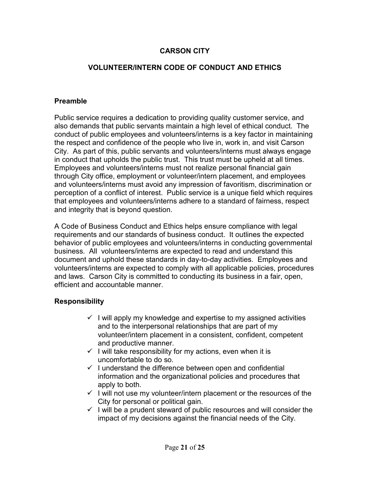#### **VOLUNTEER/INTERN CODE OF CONDUCT AND ETHICS**

#### **Preamble**

Public service requires a dedication to providing quality customer service, and also demands that public servants maintain a high level of ethical conduct. The conduct of public employees and volunteers/interns is a key factor in maintaining the respect and confidence of the people who live in, work in, and visit Carson City. As part of this, public servants and volunteers/interns must always engage in conduct that upholds the public trust. This trust must be upheld at all times. Employees and volunteers/interns must not realize personal financial gain through City office, employment or volunteer/intern placement, and employees and volunteers/interns must avoid any impression of favoritism, discrimination or perception of a conflict of interest. Public service is a unique field which requires that employees and volunteers/interns adhere to a standard of fairness, respect and integrity that is beyond question.

A Code of Business Conduct and Ethics helps ensure compliance with legal requirements and our standards of business conduct. It outlines the expected behavior of public employees and volunteers/interns in conducting governmental business. All volunteers/interns are expected to read and understand this document and uphold these standards in day-to-day activities. Employees and volunteers/interns are expected to comply with all applicable policies, procedures and laws. Carson City is committed to conducting its business in a fair, open, efficient and accountable manner.

#### **Responsibility**

- $\checkmark$  I will apply my knowledge and expertise to my assigned activities and to the interpersonal relationships that are part of my volunteer/intern placement in a consistent, confident, competent and productive manner.
- $\checkmark$  I will take responsibility for my actions, even when it is uncomfortable to do so.
- $\checkmark$  I understand the difference between open and confidential information and the organizational policies and procedures that apply to both.
- $\checkmark$  I will not use my volunteer/intern placement or the resources of the City for personal or political gain.
- $\checkmark$  I will be a prudent steward of public resources and will consider the impact of my decisions against the financial needs of the City.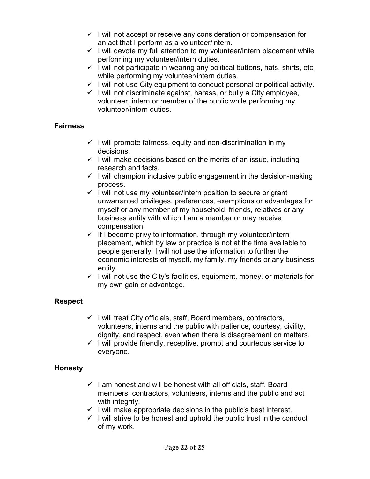- $\checkmark$  I will not accept or receive any consideration or compensation for an act that I perform as a volunteer/intern.
- $\checkmark$  I will devote my full attention to my volunteer/intern placement while performing my volunteer/intern duties.
- $\checkmark$  I will not participate in wearing any political buttons, hats, shirts, etc. while performing my volunteer/intern duties.
- $\checkmark$  I will not use City equipment to conduct personal or political activity.
- $\checkmark$  I will not discriminate against, harass, or bully a City employee, volunteer, intern or member of the public while performing my volunteer/intern duties.

## **Fairness**

- $\checkmark$  I will promote fairness, equity and non-discrimination in my decisions.
- $\checkmark$  I will make decisions based on the merits of an issue, including research and facts.
- $\checkmark$  I will champion inclusive public engagement in the decision-making process.
- $\checkmark$  I will not use my volunteer/intern position to secure or grant unwarranted privileges, preferences, exemptions or advantages for myself or any member of my household, friends, relatives or any business entity with which I am a member or may receive compensation.
- $\checkmark$  If I become privy to information, through my volunteer/intern placement, which by law or practice is not at the time available to people generally, I will not use the information to further the economic interests of myself, my family, my friends or any business entity.
- $\checkmark$  I will not use the City's facilities, equipment, money, or materials for my own gain or advantage.

## **Respect**

- $\checkmark$  I will treat City officials, staff, Board members, contractors, volunteers, interns and the public with patience, courtesy, civility, dignity, and respect, even when there is disagreement on matters.
- $\checkmark$  I will provide friendly, receptive, prompt and courteous service to everyone.

## **Honesty**

- $\checkmark$  I am honest and will be honest with all officials, staff, Board members, contractors, volunteers, interns and the public and act with integrity.
- $\checkmark$  I will make appropriate decisions in the public's best interest.
- $\checkmark$  I will strive to be honest and uphold the public trust in the conduct of my work.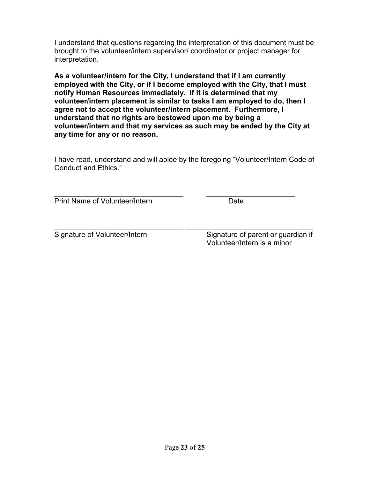I understand that questions regarding the interpretation of this document must be brought to the volunteer/intern supervisor/ coordinator or project manager for interpretation.

**As a volunteer/intern for the City, I understand that if I am currently employed with the City, or if I become employed with the City, that I must notify Human Resources immediately. If it is determined that my volunteer/intern placement is similar to tasks I am employed to do, then I agree not to accept the volunteer/intern placement. Furthermore, I understand that no rights are bestowed upon me by being a volunteer/intern and that my services as such may be ended by the City at any time for any or no reason.** 

I have read, understand and will abide by the foregoing "Volunteer/Intern Code of Conduct and Ethics."

 $\frac{1}{2}$  ,  $\frac{1}{2}$  ,  $\frac{1}{2}$  ,  $\frac{1}{2}$  ,  $\frac{1}{2}$  ,  $\frac{1}{2}$  ,  $\frac{1}{2}$  ,  $\frac{1}{2}$  ,  $\frac{1}{2}$  ,  $\frac{1}{2}$  ,  $\frac{1}{2}$  ,  $\frac{1}{2}$  ,  $\frac{1}{2}$  ,  $\frac{1}{2}$  ,  $\frac{1}{2}$  ,  $\frac{1}{2}$  ,  $\frac{1}{2}$  ,  $\frac{1}{2}$  ,  $\frac{1$ Print Name of Volunteer/Intern Date

 $\_$  , and the set of the set of the set of the set of the set of the set of the set of the set of the set of the set of the set of the set of the set of the set of the set of the set of the set of the set of the set of th Signature of Volunteer/Intern Signature of parent or guardian if Volunteer/Intern is a minor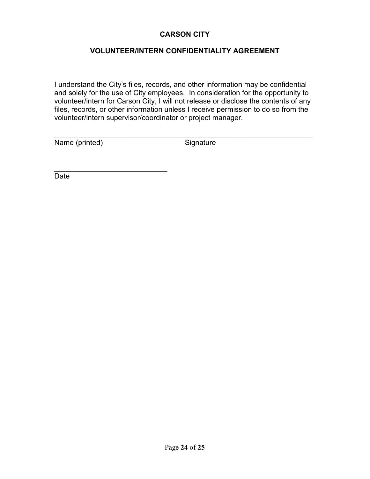#### **VOLUNTEER/INTERN CONFIDENTIALITY AGREEMENT**

I understand the City's files, records, and other information may be confidential and solely for the use of City employees. In consideration for the opportunity to volunteer/intern for Carson City, I will not release or disclose the contents of any files, records, or other information unless I receive permission to do so from the volunteer/intern supervisor/coordinator or project manager.

\_\_\_\_\_\_\_\_\_\_\_\_\_\_\_\_\_\_\_\_\_\_\_\_\_\_\_\_\_\_\_\_\_\_\_\_\_\_\_\_\_\_\_\_\_\_\_\_\_\_\_\_\_\_\_\_\_\_\_\_\_\_\_\_

Name (printed) Signature

 $\frac{1}{2}$  ,  $\frac{1}{2}$  ,  $\frac{1}{2}$  ,  $\frac{1}{2}$  ,  $\frac{1}{2}$  ,  $\frac{1}{2}$  ,  $\frac{1}{2}$  ,  $\frac{1}{2}$  ,  $\frac{1}{2}$  ,  $\frac{1}{2}$  ,  $\frac{1}{2}$  ,  $\frac{1}{2}$  ,  $\frac{1}{2}$  ,  $\frac{1}{2}$  ,  $\frac{1}{2}$  ,  $\frac{1}{2}$  ,  $\frac{1}{2}$  ,  $\frac{1}{2}$  ,  $\frac{1$ 

Date